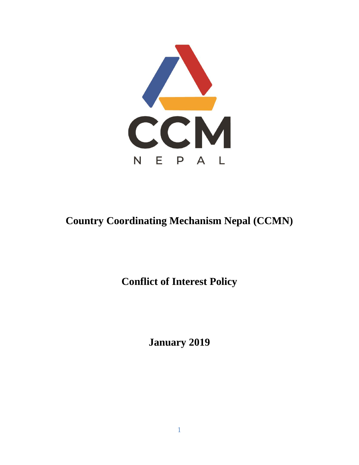

# **Country Coordinating Mechanism Nepal (CCMN)**

**Conflict of Interest Policy**

**January 2019**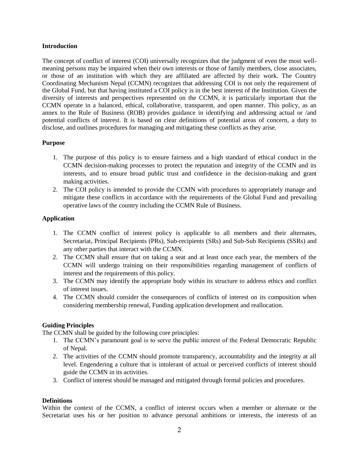#### **Introduction**

The concept of conflict of interest (COI) universally recognizes that the judgment of even the most wellmeaning persons may be impaired when their own interests or those of family members, close associates, or those of an institution with which they are affiliated are affected by their work. The Country Coordinating Mechanism Nepal (CCMN) recognizes that addressing COI is not only the requirement of the Global Fund, but that having instituted a COI policy is in the best interest of the Institution. Given the diversity of interests and perspectives represented on the CCMN, it is particularly important that the CCMN operate in a balanced, ethical, collaborative, transparent, and open manner. This policy, as an annex to the Rule of Business (ROB) provides guidance in identifying and addressing actual or /and potential conflicts of interest. It is based on clear definitions of potential areas of concern, a duty to disclose, and outlines procedures for managing and mitigating these conflicts as they arise.

#### **Purpose**

- 1. The purpose of this policy is to ensure fairness and a high standard of ethical conduct in the CCMN decision-making processes to protect the reputation and integrity of the CCMN and its interests, and to ensure broad public trust and confidence in the decision-making and grant making activities.
- 2. The COI policy is intended to provide the CCMN with procedures to appropriately manage and mitigate these conflicts in accordance with the requirements of the Global Fund and prevailing operative laws of the country including the CCMN Rule of Business.

# **Application**

- 1. The CCMN conflict of interest policy is applicable to all members and their alternates, Secretariat, Principal Recipients (PRs), Sub-recipients (SRs) and Sub-Sub Recipients (SSRs) and any other parties that interact with the CCMN.
- 2. The CCMN shall ensure that on taking a seat and at least once each year, the members of the CCMN will undergo training on their responsibilities regarding management of conflicts of interest and the requirements of this policy.
- 3. The CCMN may identify the appropriate body within its structure to address ethics and conflict of interest issues.
- 4. The CCMN should consider the consequences of conflicts of interest on its composition when considering membership renewal, Funding application development and reallocation.

#### **Guiding Principles**

The CCMN shall be guided by the following core principles:

- 1. The CCMN's paramount goal is to serve the public interest of the Federal Democratic Republic of Nepal.
- 2. The activities of the CCMN should promote transparency, accountability and the integrity at all level. Engendering a culture that is intolerant of actual or perceived conflicts of interest should guide the CCMN in its activities.
- 3. Conflict of interest should be managed and mitigated through formal policies and procedures.

## **Definitions**

Within the context of the CCMN, a conflict of interest occurs when a member or alternate or the Secretariat uses his or her position to advance personal ambitions or interests, the interests of an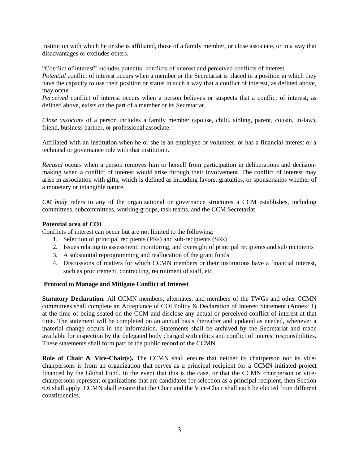institution with which he or she is affiliated, those of a family member, or close associate, or in a way that disadvantages or excludes others.

"Conflict of interest" includes potential conflicts of interest and perceived conflicts of interest.

*Potential* conflict of interest occurs when a member or the Secretariat is placed in a position in which they have the capacity to use their position or status in such a way that a conflict of interest, as defined above, may occur.

*Perceived* conflict of interest occurs when a person believes or suspects that a conflict of interest, as defined above, exists on the part of a member or its Secretariat.

*Close associate* of a person includes a family member (spouse, child, sibling, parent, cousin, in-law), friend, business partner, or professional associate.

Affiliated with an institution when he or she is an employee or volunteer, or has a financial interest or a technical or governance role with that institution.

*Recusal* occurs when a person removes him or herself from participation in deliberations and decisionmaking when a conflict of interest would arise through their involvement. The conflict of interest may arise in association with gifts, which is defined as including favors, gratuities, or sponsorships whether of a monetary or intangible nature.

*CM body* refers to any of the organizational or governance structures a CCM establishes, including committees, subcommittees, working groups, task teams, and the CCM Secretariat.

#### **Potential area of COI**

Conflicts of interest can occur but are not limited to the following:

- 1. Selection of principal recipients (PRs) and sub-recipients (SRs)
- 2. Issues relating to assessment, monitoring, and oversight of principal recipients and sub recipients
- 3. A substantial reprogramming and reallocation of the grant funds
- 4. Discussions of matters for which CCMN members or their institutions have a financial interest, such as procurement, contracting, recruitment of staff, etc.

#### **Protocol to Manage and Mitigate Conflict of Interest**

**Statutory Declaration.** All CCMN members, alternates, and members of the TWGs and other CCMN committees shall complete an Acceptance of COI Policy & Declaration of Interest Statement (Annex: 1) at the time of being seated on the CCM and disclose any actual or perceived conflict of interest at that time. The statement will be completed on an annual basis thereafter and updated as needed, whenever a material change occurs in the information. Statements shall be archived by the Secretariat and made available for inspection by the delegated body charged with ethics and conflict of interest responsibilities. These statements shall form part of the public record of the CCMN.

**Role of Chair & Vice-Chair(s).** The CCMN shall ensure that neither its chairperson nor its vicechairpersons is from an organization that serves as a principal recipient for a CCMN-initiated project financed by the Global Fund. In the event that this is the case, or that the CCMN chairperson or vicechairpersons represent organizations that are candidates for selection as a principal recipient, then Section 6.6 shall apply. CCMN shall ensure that the Chair and the Vice-Chair shall each be elected from different constituencies.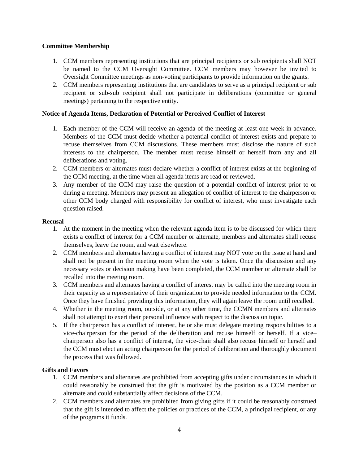#### **Committee Membership**

- 1. CCM members representing institutions that are principal recipients or sub recipients shall NOT be named to the CCM Oversight Committee. CCM members may however be invited to Oversight Committee meetings as non-voting participants to provide information on the grants.
- 2. CCM members representing institutions that are candidates to serve as a principal recipient or sub recipient or sub-sub recipient shall not participate in deliberations (committee or general meetings) pertaining to the respective entity.

#### **Notice of Agenda Items, Declaration of Potential or Perceived Conflict of Interest**

- 1. Each member of the CCM will receive an agenda of the meeting at least one week in advance. Members of the CCM must decide whether a potential conflict of interest exists and prepare to recuse themselves from CCM discussions. These members must disclose the nature of such interests to the chairperson. The member must recuse himself or herself from any and all deliberations and voting.
- 2. CCM members or alternates must declare whether a conflict of interest exists at the beginning of the CCM meeting, at the time when all agenda items are read or reviewed.
- 3. Any member of the CCM may raise the question of a potential conflict of interest prior to or during a meeting. Members may present an allegation of conflict of interest to the chairperson or other CCM body charged with responsibility for conflict of interest, who must investigate each question raised.

#### **Recusal**

- 1. At the moment in the meeting when the relevant agenda item is to be discussed for which there exists a conflict of interest for a CCM member or alternate, members and alternates shall recuse themselves, leave the room, and wait elsewhere.
- 2. CCM members and alternates having a conflict of interest may NOT vote on the issue at hand and shall not be present in the meeting room when the vote is taken. Once the discussion and any necessary votes or decision making have been completed, the CCM member or alternate shall be recalled into the meeting room.
- 3. CCM members and alternates having a conflict of interest may be called into the meeting room in their capacity as a representative of their organization to provide needed information to the CCM. Once they have finished providing this information, they will again leave the room until recalled.
- 4. Whether in the meeting room, outside, or at any other time, the CCMN members and alternates shall not attempt to exert their personal influence with respect to the discussion topic.
- 5. If the chairperson has a conflict of interest, he or she must delegate meeting responsibilities to a vice-chairperson for the period of the deliberation and recuse himself or herself. If a vice– chairperson also has a conflict of interest, the vice-chair shall also recuse himself or herself and the CCM must elect an acting chairperson for the period of deliberation and thoroughly document the process that was followed.

#### **Gifts and Favors**

- 1. CCM members and alternates are prohibited from accepting gifts under circumstances in which it could reasonably be construed that the gift is motivated by the position as a CCM member or alternate and could substantially affect decisions of the CCM.
- 2. CCM members and alternates are prohibited from giving gifts if it could be reasonably construed that the gift is intended to affect the policies or practices of the CCM, a principal recipient, or any of the programs it funds.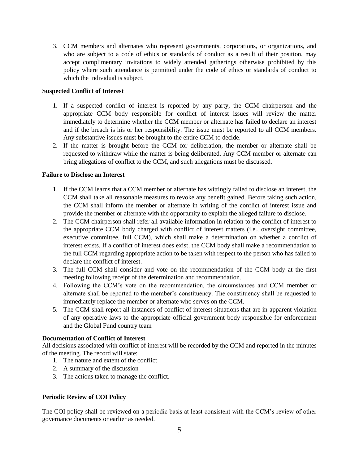3. CCM members and alternates who represent governments, corporations, or organizations, and who are subject to a code of ethics or standards of conduct as a result of their position, may accept complimentary invitations to widely attended gatherings otherwise prohibited by this policy where such attendance is permitted under the code of ethics or standards of conduct to which the individual is subject.

## **Suspected Conflict of Interest**

- 1. If a suspected conflict of interest is reported by any party, the CCM chairperson and the appropriate CCM body responsible for conflict of interest issues will review the matter immediately to determine whether the CCM member or alternate has failed to declare an interest and if the breach is his or her responsibility. The issue must be reported to all CCM members. Any substantive issues must be brought to the entire CCM to decide.
- 2. If the matter is brought before the CCM for deliberation, the member or alternate shall be requested to withdraw while the matter is being deliberated. Any CCM member or alternate can bring allegations of conflict to the CCM, and such allegations must be discussed.

# **Failure to Disclose an Interest**

- 1. If the CCM learns that a CCM member or alternate has wittingly failed to disclose an interest, the CCM shall take all reasonable measures to revoke any benefit gained. Before taking such action, the CCM shall inform the member or alternate in writing of the conflict of interest issue and provide the member or alternate with the opportunity to explain the alleged failure to disclose.
- 2. The CCM chairperson shall refer all available information in relation to the conflict of interest to the appropriate CCM body charged with conflict of interest matters (i.e., oversight committee, executive committee, full CCM), which shall make a determination on whether a conflict of interest exists. If a conflict of interest does exist, the CCM body shall make a recommendation to the full CCM regarding appropriate action to be taken with respect to the person who has failed to declare the conflict of interest.
- 3. The full CCM shall consider and vote on the recommendation of the CCM body at the first meeting following receipt of the determination and recommendation.
- 4. Following the CCM's vote on the recommendation, the circumstances and CCM member or alternate shall be reported to the member's constituency. The constituency shall be requested to immediately replace the member or alternate who serves on the CCM.
- 5. The CCM shall report all instances of conflict of interest situations that are in apparent violation of any operative laws to the appropriate official government body responsible for enforcement and the Global Fund country team

#### **Documentation of Conflict of Interest**

All decisions associated with conflict of interest will be recorded by the CCM and reported in the minutes of the meeting. The record will state:

- 1. The nature and extent of the conflict
- 2. A summary of the discussion
- 3. The actions taken to manage the conflict.

# **Periodic Review of COI Policy**

The COI policy shall be reviewed on a periodic basis at least consistent with the CCM's review of other governance documents or earlier as needed.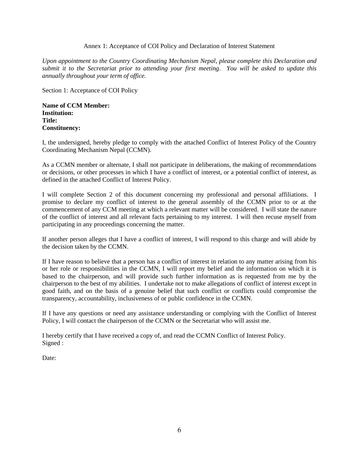#### Annex 1: Acceptance of COI Policy and Declaration of Interest Statement

*Upon appointment to the Country Coordinating Mechanism Nepal, please complete this Declaration and submit it to the Secretariat prior to attending your first meeting*. *You will be asked to update this annually throughout your term of office.*

Section 1: Acceptance of COI Policy

**Name of CCM Member: Institution: Title: Constituency:** 

I, the undersigned, hereby pledge to comply with the attached Conflict of Interest Policy of the Country Coordinating Mechanism Nepal (CCMN).

As a CCMN member or alternate, I shall not participate in deliberations, the making of recommendations or decisions, or other processes in which I have a conflict of interest, or a potential conflict of interest, as defined in the attached Conflict of Interest Policy.

I will complete Section 2 of this document concerning my professional and personal affiliations. I promise to declare my conflict of interest to the general assembly of the CCMN prior to or at the commencement of any CCM meeting at which a relevant matter will be considered. I will state the nature of the conflict of interest and all relevant facts pertaining to my interest. I will then recuse myself from participating in any proceedings concerning the matter.

If another person alleges that I have a conflict of interest, I will respond to this charge and will abide by the decision taken by the CCMN.

If I have reason to believe that a person has a conflict of interest in relation to any matter arising from his or her role or responsibilities in the CCMN, I will report my belief and the information on which it is based to the chairperson, and will provide such further information as is requested from me by the chairperson to the best of my abilities. I undertake not to make allegations of conflict of interest except in good faith, and on the basis of a genuine belief that such conflict or conflicts could compromise the transparency, accountability, inclusiveness of or public confidence in the CCMN.

If I have any questions or need any assistance understanding or complying with the Conflict of Interest Policy, I will contact the chairperson of the CCMN or the Secretariat who will assist me.

I hereby certify that I have received a copy of, and read the CCMN Conflict of Interest Policy. Signed :

Date: